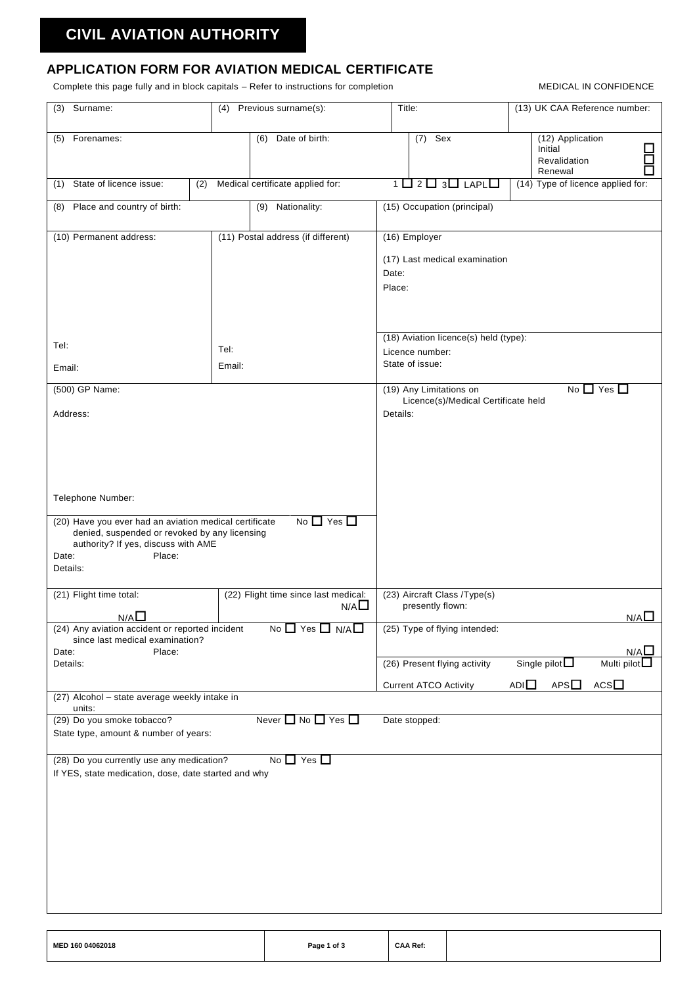## **APPLICATION FORM FOR AVIATION MEDICAL CERTIFICATE**

Complete this page fully and in block capitals – Refer to instructions for completion MEDICAL IN CONFIDENCE

| Surname:<br>(3)                                                                                                                                                                                    | (4)                                | Previous surname(s):                 |                                                                   | Title:                                                                     | (13) UK CAA Reference number:                                             |
|----------------------------------------------------------------------------------------------------------------------------------------------------------------------------------------------------|------------------------------------|--------------------------------------|-------------------------------------------------------------------|----------------------------------------------------------------------------|---------------------------------------------------------------------------|
| Forenames:<br>(5)                                                                                                                                                                                  |                                    | (6) Date of birth:                   |                                                                   | $(7)$ Sex                                                                  | (12) Application<br>Initial<br>ᄇ<br>Revalidation<br>Renewal               |
| State of licence issue:<br>(1)                                                                                                                                                                     | (2)                                | Medical certificate applied for:     |                                                                   | $1$ $\Box$ $2$ $\Box$ $3$ $\Box$ $\Box$ $\Box$ $\Box$                      | (14) Type of licence applied for:                                         |
| Place and country of birth:<br>(8)                                                                                                                                                                 |                                    | (9) Nationality:                     |                                                                   | (15) Occupation (principal)                                                |                                                                           |
| (10) Permanent address:                                                                                                                                                                            | (11) Postal address (if different) |                                      | (16) Employer<br>(17) Last medical examination<br>Date:<br>Place: |                                                                            |                                                                           |
| Tel:                                                                                                                                                                                               | Tel:                               |                                      |                                                                   | (18) Aviation licence(s) held (type):                                      |                                                                           |
| Email:                                                                                                                                                                                             | Email:                             |                                      |                                                                   | Licence number:<br>State of issue:                                         |                                                                           |
| (500) GP Name:<br>Address:                                                                                                                                                                         |                                    |                                      |                                                                   | (19) Any Limitations on<br>Licence(s)/Medical Certificate held<br>Details: | No $\Box$ Yes $\Box$                                                      |
| Telephone Number:<br>(20) Have you ever had an aviation medical certificate<br>denied, suspended or revoked by any licensing<br>authority? If yes, discuss with AME<br>Place:<br>Date:<br>Details: |                                    | No $\Box$ Yes $\Box$                 |                                                                   |                                                                            |                                                                           |
| (21) Flight time total:                                                                                                                                                                            |                                    | (22) Flight time since last medical: | N/A                                                               | (23) Aircraft Class /Type(s)<br>presently flown:                           |                                                                           |
| N/A<br>(24) Any aviation accident or reported incident<br>since last medical examination?<br>Place:<br>Date:<br>Details:                                                                           |                                    | $No$ $Yes$ $N/A$                     |                                                                   | (25) Type of flying intended:<br>(26) Present flying activity              | $N/A$ $\Box$<br>N/A<br>Multi pilot <sup>I</sup><br>Single pilot $\square$ |
|                                                                                                                                                                                                    |                                    |                                      |                                                                   |                                                                            |                                                                           |
| (27) Alcohol - state average weekly intake in                                                                                                                                                      |                                    |                                      |                                                                   | <b>Current ATCO Activity</b>                                               | ACS<br>ADI<br>APS                                                         |
| units:<br>(29) Do you smoke tobacco?<br>State type, amount & number of years:                                                                                                                      |                                    | Never $\Box$ No $\Box$ Yes $\Box$    |                                                                   | Date stopped:                                                              |                                                                           |
| (28) Do you currently use any medication?<br>If YES, state medication, dose, date started and why                                                                                                  |                                    | No $\Box$ Yes $\Box$                 |                                                                   |                                                                            |                                                                           |
|                                                                                                                                                                                                    |                                    |                                      |                                                                   |                                                                            |                                                                           |
|                                                                                                                                                                                                    |                                    |                                      |                                                                   |                                                                            |                                                                           |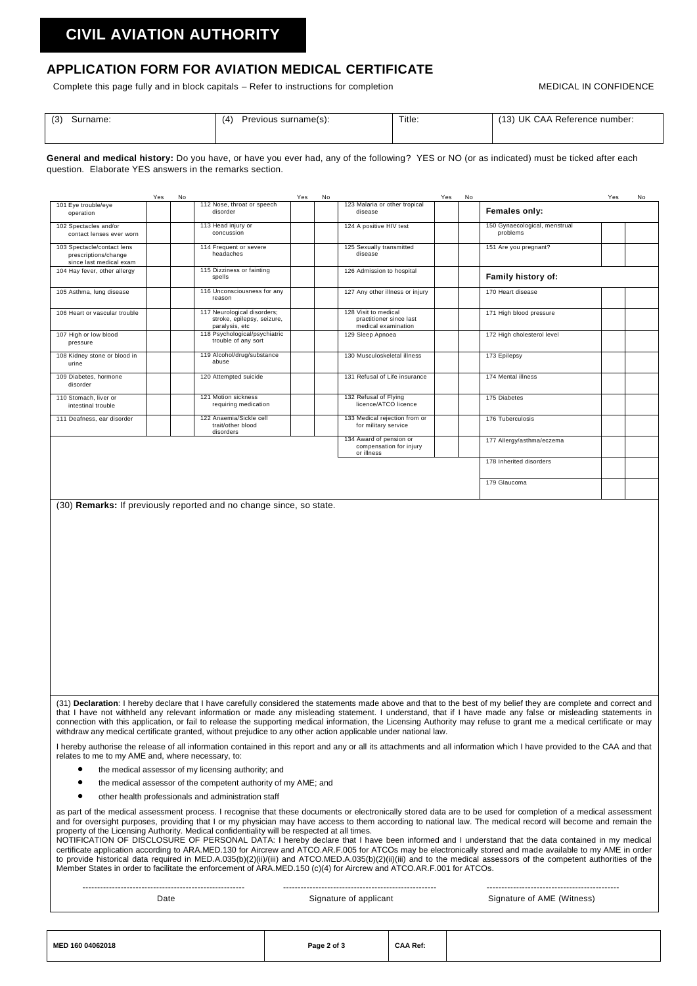## **CIVIL AVIATION AUTHORITY**

## **APPLICATION FORM FOR AVIATION MEDICAL CERTIFICATE**

Complete this page fully and in block capitals – Refer to instructions for completion MEDICAL IN CONFIDENCE

| (3) | Surname: | (4)<br>Previous surname(s): | Title:<br>$\sim$ $\sim$ | (13) UK CAA Reference number: |
|-----|----------|-----------------------------|-------------------------|-------------------------------|
|     |          |                             |                         |                               |

**General and medical history:** Do you have, or have you ever had, any of the following? YES or NO (or as indicated) must be ticked after each question. Elaborate YES answers in the remarks section.

|                                                                                                                                                                                                                                                                                                                                                                                                                                                                                                                                                                                                                                                                                                                                                                                                                                                                                                                                                                                                                                                 | Yes                                                 | No |                                                                             | Yes<br>No |                                                                        | Yes | No |                                           | Yes | No |
|-------------------------------------------------------------------------------------------------------------------------------------------------------------------------------------------------------------------------------------------------------------------------------------------------------------------------------------------------------------------------------------------------------------------------------------------------------------------------------------------------------------------------------------------------------------------------------------------------------------------------------------------------------------------------------------------------------------------------------------------------------------------------------------------------------------------------------------------------------------------------------------------------------------------------------------------------------------------------------------------------------------------------------------------------|-----------------------------------------------------|----|-----------------------------------------------------------------------------|-----------|------------------------------------------------------------------------|-----|----|-------------------------------------------|-----|----|
| 101 Eye trouble/eye<br>operation                                                                                                                                                                                                                                                                                                                                                                                                                                                                                                                                                                                                                                                                                                                                                                                                                                                                                                                                                                                                                |                                                     |    | 112 Nose, throat or speech<br>disorder                                      |           | 123 Malaria or other tropical<br>disease                               |     |    | Females only:                             |     |    |
| 102 Spectacles and/or<br>contact lenses ever worn                                                                                                                                                                                                                                                                                                                                                                                                                                                                                                                                                                                                                                                                                                                                                                                                                                                                                                                                                                                               |                                                     |    | 113 Head injury or<br>concussion                                            |           | 124 A positive HIV test                                                |     |    | 150 Gynaecological, menstrual<br>problems |     |    |
| 103 Spectacle/contact lens<br>prescriptions/change<br>since last medical exam                                                                                                                                                                                                                                                                                                                                                                                                                                                                                                                                                                                                                                                                                                                                                                                                                                                                                                                                                                   |                                                     |    | 114 Frequent or severe<br>headaches                                         |           | 125 Sexually transmitted<br>disease                                    |     |    | 151 Are you pregnant?                     |     |    |
| 104 Hay fever, other allergy                                                                                                                                                                                                                                                                                                                                                                                                                                                                                                                                                                                                                                                                                                                                                                                                                                                                                                                                                                                                                    |                                                     |    | 115 Dizziness or fainting<br>spells                                         |           | 126 Admission to hospital                                              |     |    | Family history of:                        |     |    |
| 105 Asthma, lung disease                                                                                                                                                                                                                                                                                                                                                                                                                                                                                                                                                                                                                                                                                                                                                                                                                                                                                                                                                                                                                        |                                                     |    | 116 Unconsciousness for any<br>reason                                       |           | 127 Any other illness or injury                                        |     |    | 170 Heart disease                         |     |    |
| 106 Heart or vascular trouble                                                                                                                                                                                                                                                                                                                                                                                                                                                                                                                                                                                                                                                                                                                                                                                                                                                                                                                                                                                                                   |                                                     |    | 117 Neurological disorders;<br>stroke, epilepsy, seizure,<br>paralysis, etc |           | 128 Visit to medical<br>practitioner since last<br>medical examination |     |    | 171 High blood pressure                   |     |    |
| 107 High or low blood<br>pressure                                                                                                                                                                                                                                                                                                                                                                                                                                                                                                                                                                                                                                                                                                                                                                                                                                                                                                                                                                                                               |                                                     |    | 118 Psychological/psychiatric<br>trouble of any sort                        |           | 129 Sleep Apnoea                                                       |     |    | 172 High cholesterol level                |     |    |
| 108 Kidney stone or blood in<br>urine                                                                                                                                                                                                                                                                                                                                                                                                                                                                                                                                                                                                                                                                                                                                                                                                                                                                                                                                                                                                           |                                                     |    | 119 Alcohol/drug/substance<br>abuse                                         |           | 130 Musculoskeletal illness                                            |     |    | 173 Epilepsy                              |     |    |
| 109 Diabetes, hormone<br>disorder                                                                                                                                                                                                                                                                                                                                                                                                                                                                                                                                                                                                                                                                                                                                                                                                                                                                                                                                                                                                               |                                                     |    | 120 Attempted suicide                                                       |           | 131 Refusal of Life insurance                                          |     |    | 174 Mental illness                        |     |    |
| 110 Stomach, liver or<br>intestinal trouble                                                                                                                                                                                                                                                                                                                                                                                                                                                                                                                                                                                                                                                                                                                                                                                                                                                                                                                                                                                                     |                                                     |    | 121 Motion sickness<br>requiring medication                                 |           | 132 Refusal of Flying<br>licence/ATCO licence                          |     |    | 175 Diabetes                              |     |    |
| 111 Deafness, ear disorder                                                                                                                                                                                                                                                                                                                                                                                                                                                                                                                                                                                                                                                                                                                                                                                                                                                                                                                                                                                                                      |                                                     |    | 122 Anaemia/Sickle cell<br>trait/other blood<br>disorders                   |           | 133 Medical rejection from or<br>for military service                  |     |    | 176 Tuberculosis                          |     |    |
|                                                                                                                                                                                                                                                                                                                                                                                                                                                                                                                                                                                                                                                                                                                                                                                                                                                                                                                                                                                                                                                 |                                                     |    |                                                                             |           | 134 Award of pension or<br>compensation for injury<br>or illness       |     |    | 177 Allergy/asthma/eczema                 |     |    |
|                                                                                                                                                                                                                                                                                                                                                                                                                                                                                                                                                                                                                                                                                                                                                                                                                                                                                                                                                                                                                                                 |                                                     |    |                                                                             |           |                                                                        |     |    | 178 Inherited disorders                   |     |    |
|                                                                                                                                                                                                                                                                                                                                                                                                                                                                                                                                                                                                                                                                                                                                                                                                                                                                                                                                                                                                                                                 |                                                     |    |                                                                             |           |                                                                        |     |    | 179 Glaucoma                              |     |    |
|                                                                                                                                                                                                                                                                                                                                                                                                                                                                                                                                                                                                                                                                                                                                                                                                                                                                                                                                                                                                                                                 |                                                     |    | (30) <b>Remarks:</b> If previously reported and no change since, so state.  |           |                                                                        |     |    |                                           |     |    |
|                                                                                                                                                                                                                                                                                                                                                                                                                                                                                                                                                                                                                                                                                                                                                                                                                                                                                                                                                                                                                                                 |                                                     |    |                                                                             |           |                                                                        |     |    |                                           |     |    |
| (31) Declaration: I hereby declare that I have carefully considered the statements made above and that to the best of my belief they are complete and correct and<br>that I have not withheld any relevant information or made any misleading statement. I understand, that if I have made any false or misleading statements in<br>connection with this application, or fail to release the supporting medical information, the Licensing Authority may refuse to grant me a medical certificate or may<br>withdraw any medical certificate granted, without prejudice to any other action applicable under national law.                                                                                                                                                                                                                                                                                                                                                                                                                      |                                                     |    |                                                                             |           |                                                                        |     |    |                                           |     |    |
| I hereby authorise the release of all information contained in this report and any or all its attachments and all information which I have provided to the CAA and that<br>relates to me to my AME and, where necessary, to:                                                                                                                                                                                                                                                                                                                                                                                                                                                                                                                                                                                                                                                                                                                                                                                                                    |                                                     |    |                                                                             |           |                                                                        |     |    |                                           |     |    |
| the medical assessor of my licensing authority; and<br>٠                                                                                                                                                                                                                                                                                                                                                                                                                                                                                                                                                                                                                                                                                                                                                                                                                                                                                                                                                                                        |                                                     |    |                                                                             |           |                                                                        |     |    |                                           |     |    |
| $\bullet$<br>the medical assessor of the competent authority of my AME; and                                                                                                                                                                                                                                                                                                                                                                                                                                                                                                                                                                                                                                                                                                                                                                                                                                                                                                                                                                     |                                                     |    |                                                                             |           |                                                                        |     |    |                                           |     |    |
| $\bullet$                                                                                                                                                                                                                                                                                                                                                                                                                                                                                                                                                                                                                                                                                                                                                                                                                                                                                                                                                                                                                                       | other health professionals and administration staff |    |                                                                             |           |                                                                        |     |    |                                           |     |    |
| as part of the medical assessment process. I recognise that these documents or electronically stored data are to be used for completion of a medical assessment<br>and for oversight purposes, providing that I or my physician may have access to them according to national law. The medical record will become and remain the<br>property of the Licensing Authority. Medical confidentiality will be respected at all times.<br>NOTIFICATION OF DISCLOSURE OF PERSONAL DATA: I hereby declare that I have been informed and I understand that the data contained in my medical<br>certificate application according to ARA.MED.130 for Aircrew and ATCO.AR.F.005 for ATCOs may be electronically stored and made available to my AME in order<br>to provide historical data required in MED.A.035(b)(2)(ii)/(iii) and ATCO.MED.A.035(b)(2)(ii)(iii) and to the medical assessors of the competent authorities of the<br>Member States in order to facilitate the enforcement of ARA.MED.150 (c)(4) for Aircrew and ATCO.AR.F.001 for ATCOs. |                                                     |    |                                                                             |           |                                                                        |     |    |                                           |     |    |

------------------------------------------------------- ---------------------------------------------------- --------------------------------------------- Date Signature of applicant Signature Signature of AME (Witness)

|  | MED 160 04062018 |  |
|--|------------------|--|
|  |                  |  |